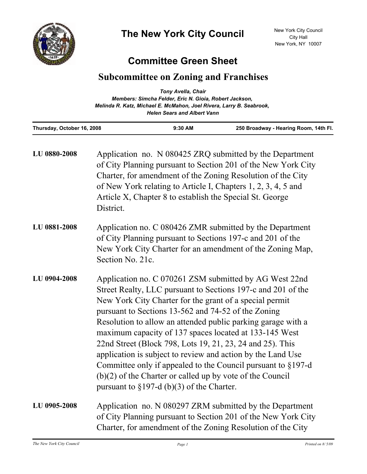

## **Committee Green Sheet**

## **Subcommittee on Zoning and Franchises**

|                            | <b>Tony Avella, Chair</b>                                                                                  |                                       |
|----------------------------|------------------------------------------------------------------------------------------------------------|---------------------------------------|
|                            | Members: Simcha Felder, Eric N. Gioia, Robert Jackson,                                                     |                                       |
|                            | Melinda R. Katz, Michael E. McMahon, Joel Rivera, Larry B. Seabrook,<br><b>Helen Sears and Albert Vann</b> |                                       |
| Thursday, October 16, 2008 | $9:30$ AM                                                                                                  | 250 Broadway - Hearing Room, 14th Fl. |

| LU 0880-2008 | Application no. N 080425 ZRQ submitted by the Department<br>of City Planning pursuant to Section 201 of the New York City<br>Charter, for amendment of the Zoning Resolution of the City<br>of New York relating to Article I, Chapters 1, 2, 3, 4, 5 and<br>Article X, Chapter 8 to establish the Special St. George<br>District.                                                                                                                                                                                                                                                                                                                                               |
|--------------|----------------------------------------------------------------------------------------------------------------------------------------------------------------------------------------------------------------------------------------------------------------------------------------------------------------------------------------------------------------------------------------------------------------------------------------------------------------------------------------------------------------------------------------------------------------------------------------------------------------------------------------------------------------------------------|
| LU 0881-2008 | Application no. C 080426 ZMR submitted by the Department<br>of City Planning pursuant to Sections 197-c and 201 of the<br>New York City Charter for an amendment of the Zoning Map,<br>Section No. 21c.                                                                                                                                                                                                                                                                                                                                                                                                                                                                          |
| LU 0904-2008 | Application no. C 070261 ZSM submitted by AG West 22nd<br>Street Realty, LLC pursuant to Sections 197-c and 201 of the<br>New York City Charter for the grant of a special permit<br>pursuant to Sections 13-562 and 74-52 of the Zoning<br>Resolution to allow an attended public parking garage with a<br>maximum capacity of 137 spaces located at 133-145 West<br>22nd Street (Block 798, Lots 19, 21, 23, 24 and 25). This<br>application is subject to review and action by the Land Use<br>Committee only if appealed to the Council pursuant to $§197-d$<br>$(b)(2)$ of the Charter or called up by vote of the Council<br>pursuant to $\S 197-d$ (b)(3) of the Charter. |
| LU 0905-2008 | Application no. N 080297 ZRM submitted by the Department<br>of City Planning pursuant to Section 201 of the New York City<br>Charter, for amendment of the Zoning Resolution of the City                                                                                                                                                                                                                                                                                                                                                                                                                                                                                         |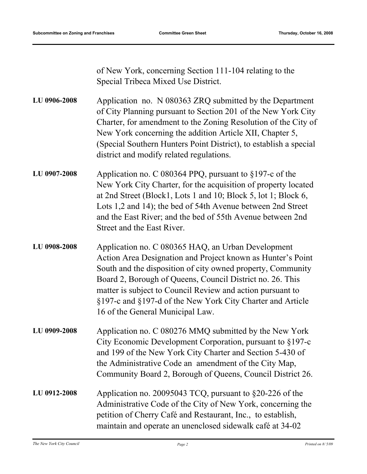of New York, concerning Section 111-104 relating to the Special Tribeca Mixed Use District.

Application no. N 080363 ZRQ submitted by the Department of City Planning pursuant to Section 201 of the New York City Charter, for amendment to the Zoning Resolution of the City of New York concerning the addition Article XII, Chapter 5, (Special Southern Hunters Point District), to establish a special district and modify related regulations. **LU 0906-2008**

- Application no. C 080364 PPQ, pursuant to §197-c of the New York City Charter, for the acquisition of property located at 2nd Street (Block1, Lots 1 and 10; Block 5, lot 1; Block 6, Lots 1,2 and 14); the bed of 54th Avenue between 2nd Street and the East River; and the bed of 55th Avenue between 2nd Street and the East River. **LU 0907-2008**
- Application no. C 080365 HAQ, an Urban Development Action Area Designation and Project known as Hunter's Point South and the disposition of city owned property, Community Board 2, Borough of Queens, Council District no. 26. This matter is subject to Council Review and action pursuant to §197-c and §197-d of the New York City Charter and Article 16 of the General Municipal Law. **LU 0908-2008**
- Application no. C 080276 MMQ submitted by the New York City Economic Development Corporation, pursuant to §197-c and 199 of the New York City Charter and Section 5-430 of the Administrative Code an amendment of the City Map, Community Board 2, Borough of Queens, Council District 26. **LU 0909-2008**
- Application no. 20095043 TCQ, pursuant to §20-226 of the Administrative Code of the City of New York, concerning the petition of Cherry Café and Restaurant, Inc., to establish, maintain and operate an unenclosed sidewalk café at 34-02 **LU 0912-2008**